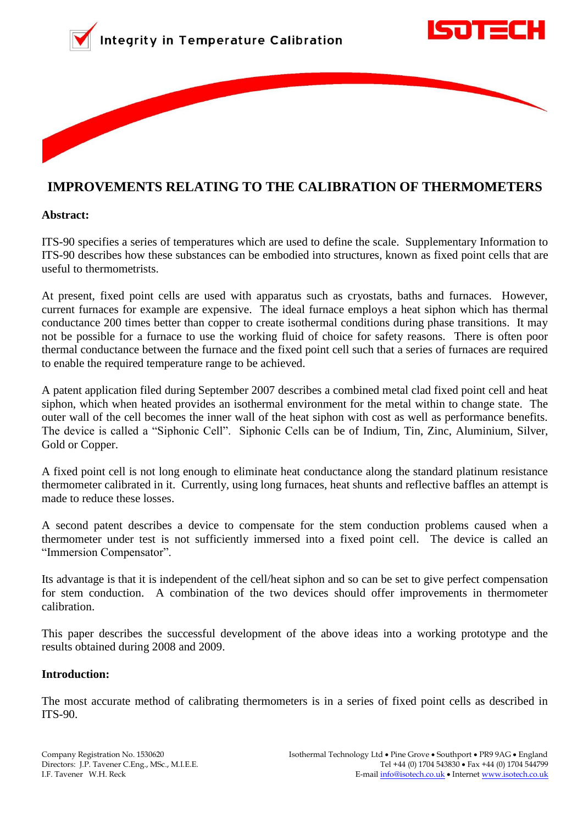



# **IMPROVEMENTS RELATING TO THE CALIBRATION OF THERMOMETERS**

#### **Abstract:**

ITS-90 specifies a series of temperatures which are used to define the scale. Supplementary Information to ITS-90 describes how these substances can be embodied into structures, known as fixed point cells that are useful to thermometrists.

At present, fixed point cells are used with apparatus such as cryostats, baths and furnaces. However, current furnaces for example are expensive. The ideal furnace employs a heat siphon which has thermal conductance 200 times better than copper to create isothermal conditions during phase transitions. It may not be possible for a furnace to use the working fluid of choice for safety reasons. There is often poor thermal conductance between the furnace and the fixed point cell such that a series of furnaces are required to enable the required temperature range to be achieved.

A patent application filed during September 2007 describes a combined metal clad fixed point cell and heat siphon, which when heated provides an isothermal environment for the metal within to change state. The outer wall of the cell becomes the inner wall of the heat siphon with cost as well as performance benefits. The device is called a "Siphonic Cell". Siphonic Cells can be of Indium, Tin, Zinc, Aluminium, Silver, Gold or Copper.

A fixed point cell is not long enough to eliminate heat conductance along the standard platinum resistance thermometer calibrated in it. Currently, using long furnaces, heat shunts and reflective baffles an attempt is made to reduce these losses.

A second patent describes a device to compensate for the stem conduction problems caused when a thermometer under test is not sufficiently immersed into a fixed point cell. The device is called an "Immersion Compensator".

Its advantage is that it is independent of the cell/heat siphon and so can be set to give perfect compensation for stem conduction. A combination of the two devices should offer improvements in thermometer calibration.

This paper describes the successful development of the above ideas into a working prototype and the results obtained during 2008 and 2009.

#### **Introduction:**

The most accurate method of calibrating thermometers is in a series of fixed point cells as described in ITS-90.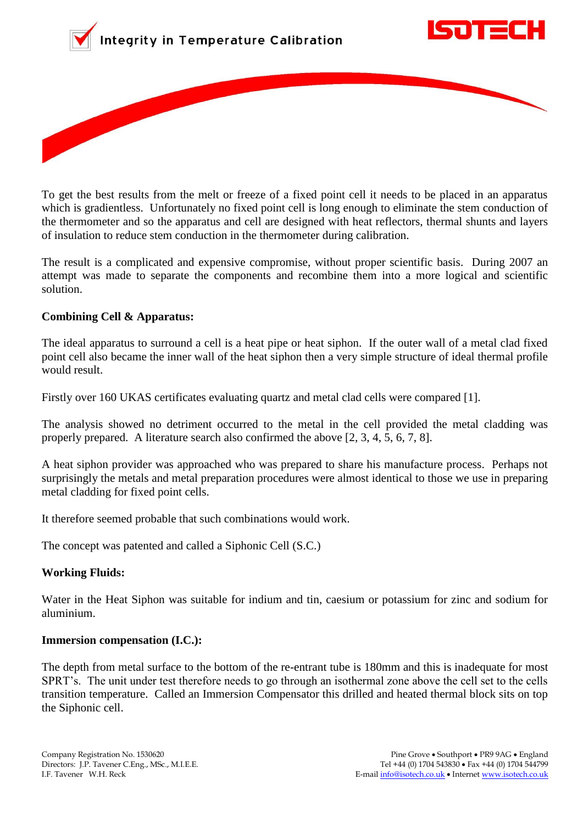





To get the best results from the melt or freeze of a fixed point cell it needs to be placed in an apparatus which is gradientless. Unfortunately no fixed point cell is long enough to eliminate the stem conduction of the thermometer and so the apparatus and cell are designed with heat reflectors, thermal shunts and layers of insulation to reduce stem conduction in the thermometer during calibration.

The result is a complicated and expensive compromise, without proper scientific basis. During 2007 an attempt was made to separate the components and recombine them into a more logical and scientific solution.

## **Combining Cell & Apparatus:**

The ideal apparatus to surround a cell is a heat pipe or heat siphon. If the outer wall of a metal clad fixed point cell also became the inner wall of the heat siphon then a very simple structure of ideal thermal profile would result.

Firstly over 160 UKAS certificates evaluating quartz and metal clad cells were compared [1].

The analysis showed no detriment occurred to the metal in the cell provided the metal cladding was properly prepared. A literature search also confirmed the above [2, 3, 4, 5, 6, 7, 8].

A heat siphon provider was approached who was prepared to share his manufacture process. Perhaps not surprisingly the metals and metal preparation procedures were almost identical to those we use in preparing metal cladding for fixed point cells.

It therefore seemed probable that such combinations would work.

The concept was patented and called a Siphonic Cell (S.C.)

# **Working Fluids:**

Water in the Heat Siphon was suitable for indium and tin, caesium or potassium for zinc and sodium for aluminium.

# **Immersion compensation (I.C.):**

The depth from metal surface to the bottom of the re-entrant tube is 180mm and this is inadequate for most SPRT"s. The unit under test therefore needs to go through an isothermal zone above the cell set to the cells transition temperature. Called an Immersion Compensator this drilled and heated thermal block sits on top the Siphonic cell.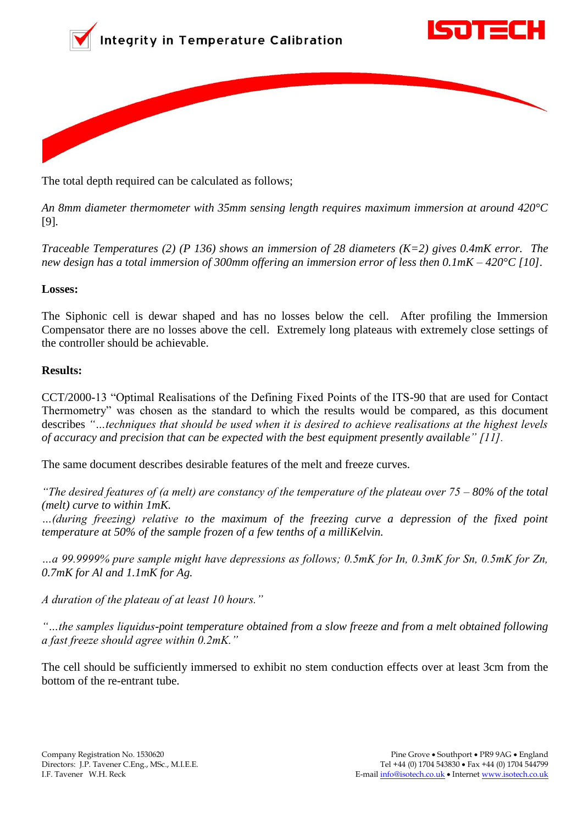





The total depth required can be calculated as follows;

*An 8mm diameter thermometer with 35mm sensing length requires maximum immersion at around 420°C*  [9]*.*

*Traceable Temperatures (2) (P 136) shows an immersion of 28 diameters (K=2) gives 0.4mK error. The new design has a total immersion of 300mm offering an immersion error of less then 0.1mK – 420°C [10].*

## **Losses:**

The Siphonic cell is dewar shaped and has no losses below the cell. After profiling the Immersion Compensator there are no losses above the cell. Extremely long plateaus with extremely close settings of the controller should be achievable.

## **Results:**

CCT/2000-13 "Optimal Realisations of the Defining Fixed Points of the ITS-90 that are used for Contact Thermometry" was chosen as the standard to which the results would be compared, as this document describes *"…techniques that should be used when it is desired to achieve realisations at the highest levels of accuracy and precision that can be expected with the best equipment presently available" [11].*

The same document describes desirable features of the melt and freeze curves.

*"The desired features of (a melt) are constancy of the temperature of the plateau over 75 – 80% of the total (melt) curve to within 1mK.* 

*…(during freezing) relative to the maximum of the freezing curve a depression of the fixed point temperature at 50% of the sample frozen of a few tenths of a milliKelvin.*

*…a 99.9999% pure sample might have depressions as follows; 0.5mK for In, 0.3mK for Sn, 0.5mK for Zn, 0.7mK for Al and 1.1mK for Ag.*

*A duration of the plateau of at least 10 hours."*

*"…the samples liquidus-point temperature obtained from a slow freeze and from a melt obtained following a fast freeze should agree within 0.2mK."*

The cell should be sufficiently immersed to exhibit no stem conduction effects over at least 3cm from the bottom of the re-entrant tube.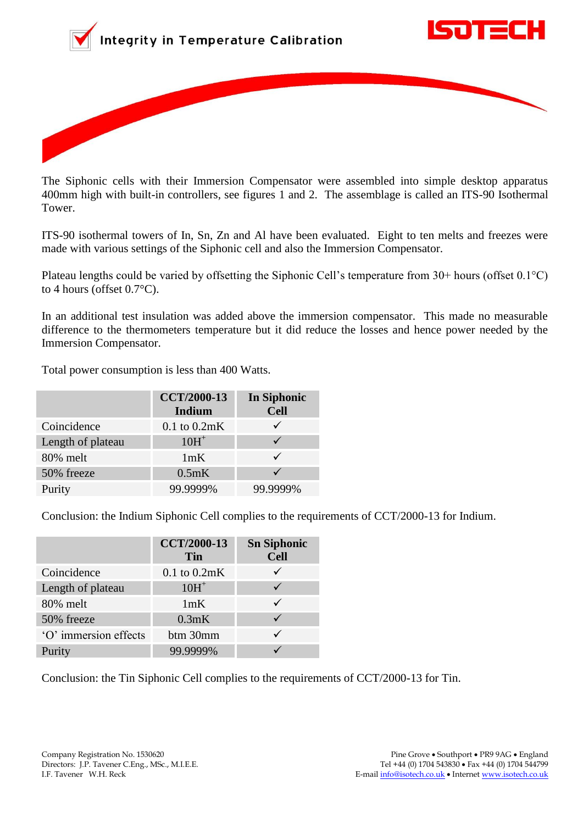





The Siphonic cells with their Immersion Compensator were assembled into simple desktop apparatus 400mm high with built-in controllers, see figures 1 and 2. The assemblage is called an ITS-90 Isothermal Tower.

ITS-90 isothermal towers of In, Sn, Zn and Al have been evaluated. Eight to ten melts and freezes were made with various settings of the Siphonic cell and also the Immersion Compensator.

Plateau lengths could be varied by offsetting the Siphonic Cell"s temperature from 30+ hours (offset 0.1°C) to 4 hours (offset 0.7°C).

In an additional test insulation was added above the immersion compensator. This made no measurable difference to the thermometers temperature but it did reduce the losses and hence power needed by the Immersion Compensator.

Total power consumption is less than 400 Watts.

|                   | <b>CCT/2000-13</b><br>Indium | <b>In Siphonic</b><br><b>Cell</b> |
|-------------------|------------------------------|-----------------------------------|
| Coincidence       | $0.1$ to $0.2mK$             |                                   |
| Length of plateau | $10H+$                       |                                   |
| 80% melt          | 1mK                          |                                   |
| 50% freeze        | 0.5mK                        |                                   |
| Purity            | 99.9999%                     | 99.9999%                          |

Conclusion: the Indium Siphonic Cell complies to the requirements of CCT/2000-13 for Indium.

|                       | <b>CCT/2000-13</b><br>Tin | <b>Sn Siphonic</b><br><b>Cell</b> |
|-----------------------|---------------------------|-----------------------------------|
| Coincidence           | $0.1$ to $0.2mK$          |                                   |
| Length of plateau     | $10H+$                    |                                   |
| 80% melt              | 1mK                       |                                   |
| 50% freeze            | 0.3mK                     |                                   |
| 'O' immersion effects | btm 30mm                  |                                   |
| Purity                | 99.9999%                  |                                   |

Conclusion: the Tin Siphonic Cell complies to the requirements of CCT/2000-13 for Tin.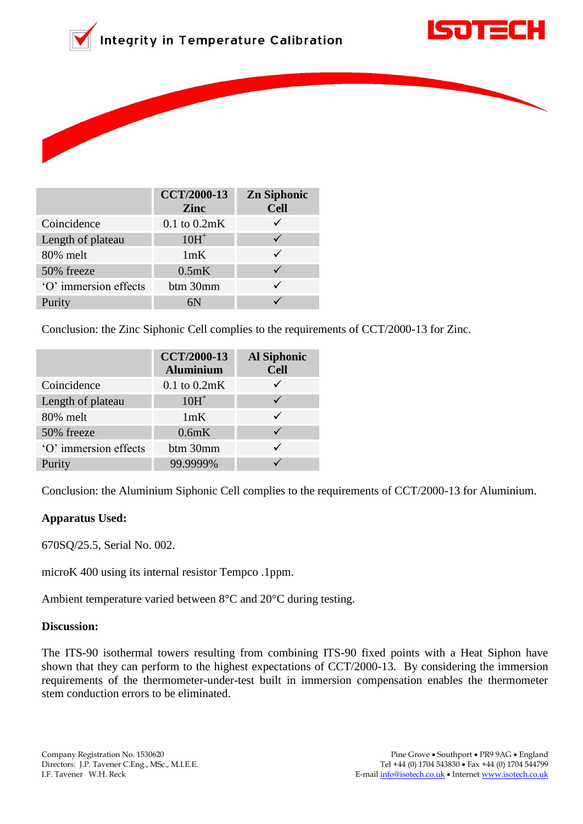





|                       | <b>CCT/2000-13</b><br>Zinc | <b>Zn Siphonic</b><br><b>Cell</b> |
|-----------------------|----------------------------|-----------------------------------|
| Coincidence           | $0.1$ to $0.2mK$           |                                   |
| Length of plateau     | $10H+$                     |                                   |
| 80% melt              | 1mK                        |                                   |
| 50% freeze            | 0.5mK                      |                                   |
| 'O' immersion effects | btm 30mm                   |                                   |
| Purity                |                            |                                   |

Conclusion: the Zinc Siphonic Cell complies to the requirements of CCT/2000-13 for Zinc.

|                       | <b>CCT/2000-13</b><br><b>Aluminium</b> | <b>Al Siphonic</b><br><b>Cell</b> |
|-----------------------|----------------------------------------|-----------------------------------|
| Coincidence           | $0.1$ to $0.2mK$                       |                                   |
| Length of plateau     | $10H+$                                 |                                   |
| 80% melt              | 1mK                                    |                                   |
| 50% freeze            | 0.6mK                                  |                                   |
| 'O' immersion effects | btm 30mm                               |                                   |
| Purity                | 99.9999%                               |                                   |

Conclusion: the Aluminium Siphonic Cell complies to the requirements of CCT/2000-13 for Aluminium.

# **Apparatus Used:**

670SQ/25.5, Serial No. 002.

microK 400 using its internal resistor Tempco .1ppm.

Ambient temperature varied between 8°C and 20°C during testing.

#### **Discussion:**

The ITS-90 isothermal towers resulting from combining ITS-90 fixed points with a Heat Siphon have shown that they can perform to the highest expectations of CCT/2000-13. By considering the immersion requirements of the thermometer-under-test built in immersion compensation enables the thermometer stem conduction errors to be eliminated.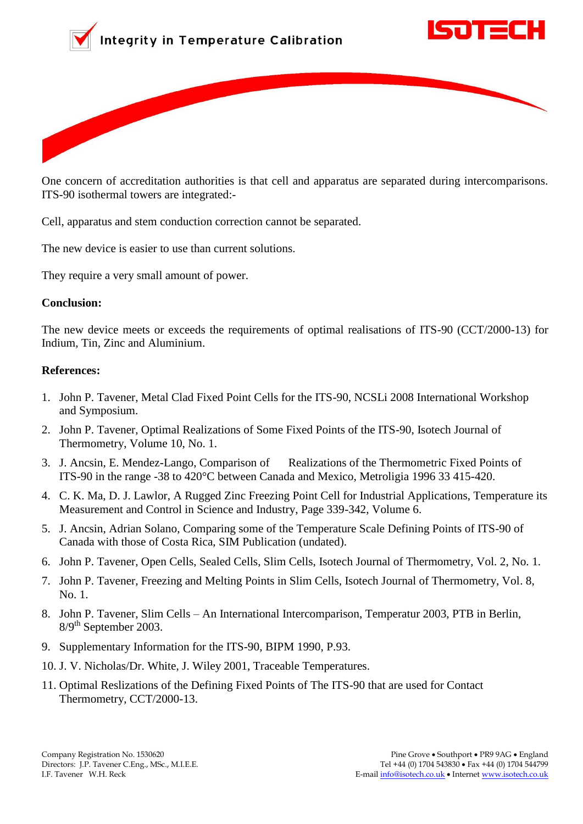





One concern of accreditation authorities is that cell and apparatus are separated during intercomparisons. ITS-90 isothermal towers are integrated:-

Cell, apparatus and stem conduction correction cannot be separated.

The new device is easier to use than current solutions.

They require a very small amount of power.

#### **Conclusion:**

The new device meets or exceeds the requirements of optimal realisations of ITS-90 (CCT/2000-13) for Indium, Tin, Zinc and Aluminium.

## **References:**

- 1. John P. Tavener, Metal Clad Fixed Point Cells for the ITS-90, NCSLi 2008 International Workshop and Symposium.
- 2. John P. Tavener, Optimal Realizations of Some Fixed Points of the ITS-90, Isotech Journal of Thermometry, Volume 10, No. 1.
- 3. J. Ancsin, E. Mendez-Lango, Comparison of Realizations of the Thermometric Fixed Points of ITS-90 in the range -38 to 420°C between Canada and Mexico, Metroligia 1996 33 415-420.
- 4. C. K. Ma, D. J. Lawlor, A Rugged Zinc Freezing Point Cell for Industrial Applications, Temperature its Measurement and Control in Science and Industry, Page 339-342, Volume 6.
- 5. J. Ancsin, Adrian Solano, Comparing some of the Temperature Scale Defining Points of ITS-90 of Canada with those of Costa Rica, SIM Publication (undated).
- 6. John P. Tavener, Open Cells, Sealed Cells, Slim Cells, Isotech Journal of Thermometry, Vol. 2, No. 1.
- 7. John P. Tavener, Freezing and Melting Points in Slim Cells, Isotech Journal of Thermometry, Vol. 8, No. 1.
- 8. John P. Tavener, Slim Cells An International Intercomparison, Temperatur 2003, PTB in Berlin,  $8/9<sup>th</sup>$  September 2003.
- 9. Supplementary Information for the ITS-90, BIPM 1990, P.93.
- 10. J. V. Nicholas/Dr. White, J. Wiley 2001, Traceable Temperatures.
- 11. Optimal Reslizations of the Defining Fixed Points of The ITS-90 that are used for Contact Thermometry, CCT/2000-13.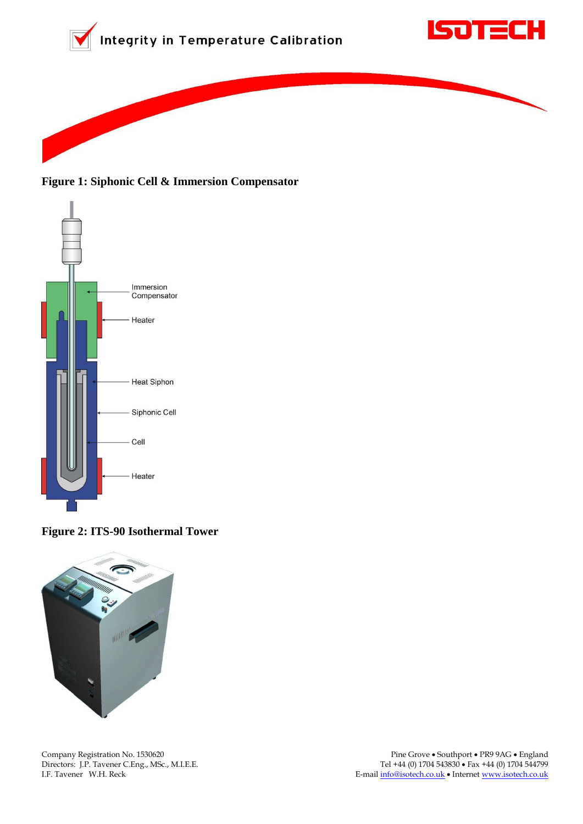





**Figure 1: Siphonic Cell & Immersion Compensator**



**Figure 2: ITS-90 Isothermal Tower**

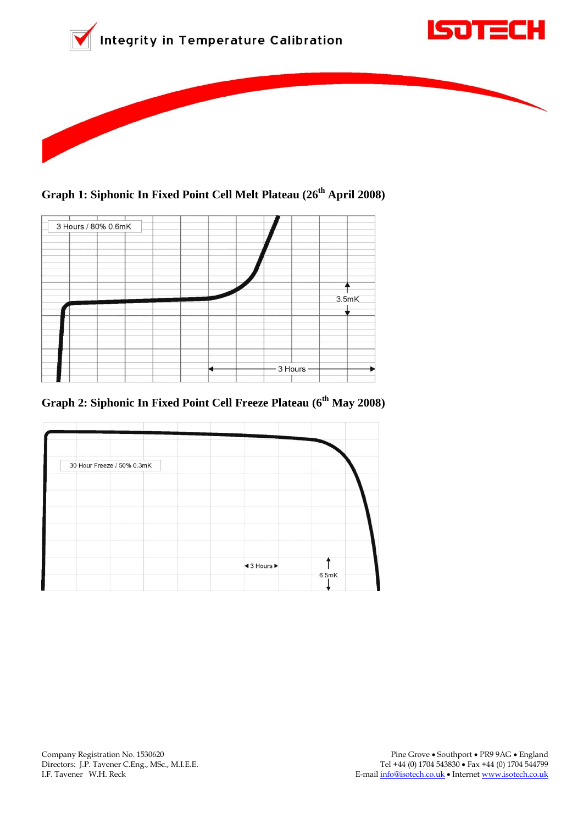





**Graph 1: Siphonic In Fixed Point Cell Melt Plateau (26th April 2008)**



**Graph 2: Siphonic In Fixed Point Cell Freeze Plateau (6 th May 2008)**

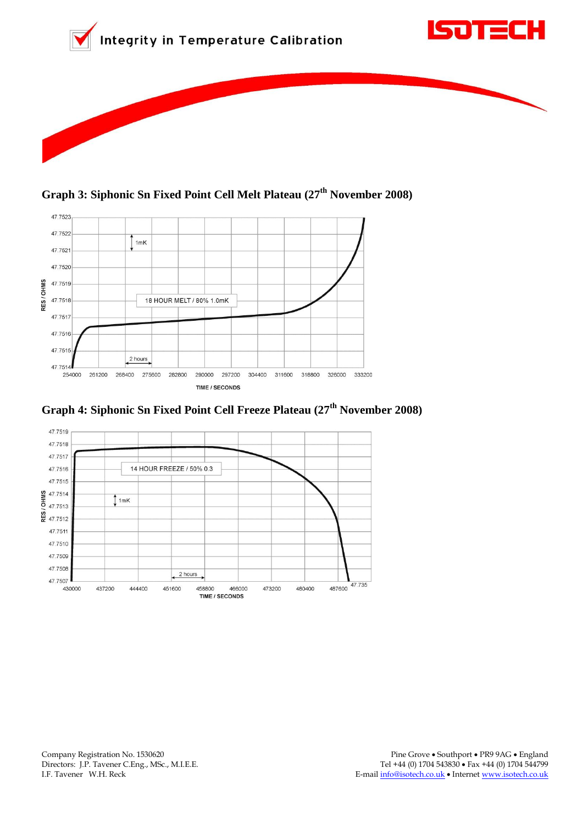



**Graph 3: Siphonic Sn Fixed Point Cell Melt Plateau (27th November 2008)**



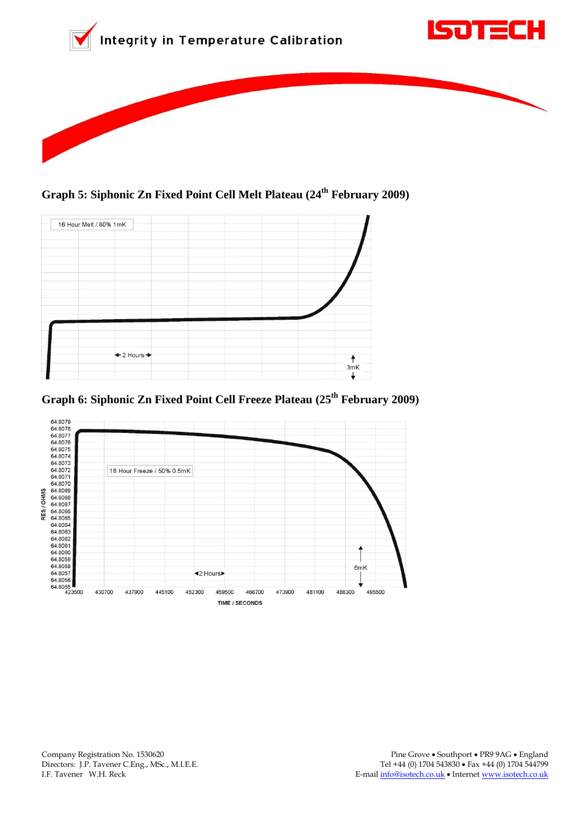

**Graph 5: Siphonic Zn Fixed Point Cell Melt Plateau (24th February 2009)**



**Graph 6: Siphonic Zn Fixed Point Cell Freeze Plateau (25th February 2009)**